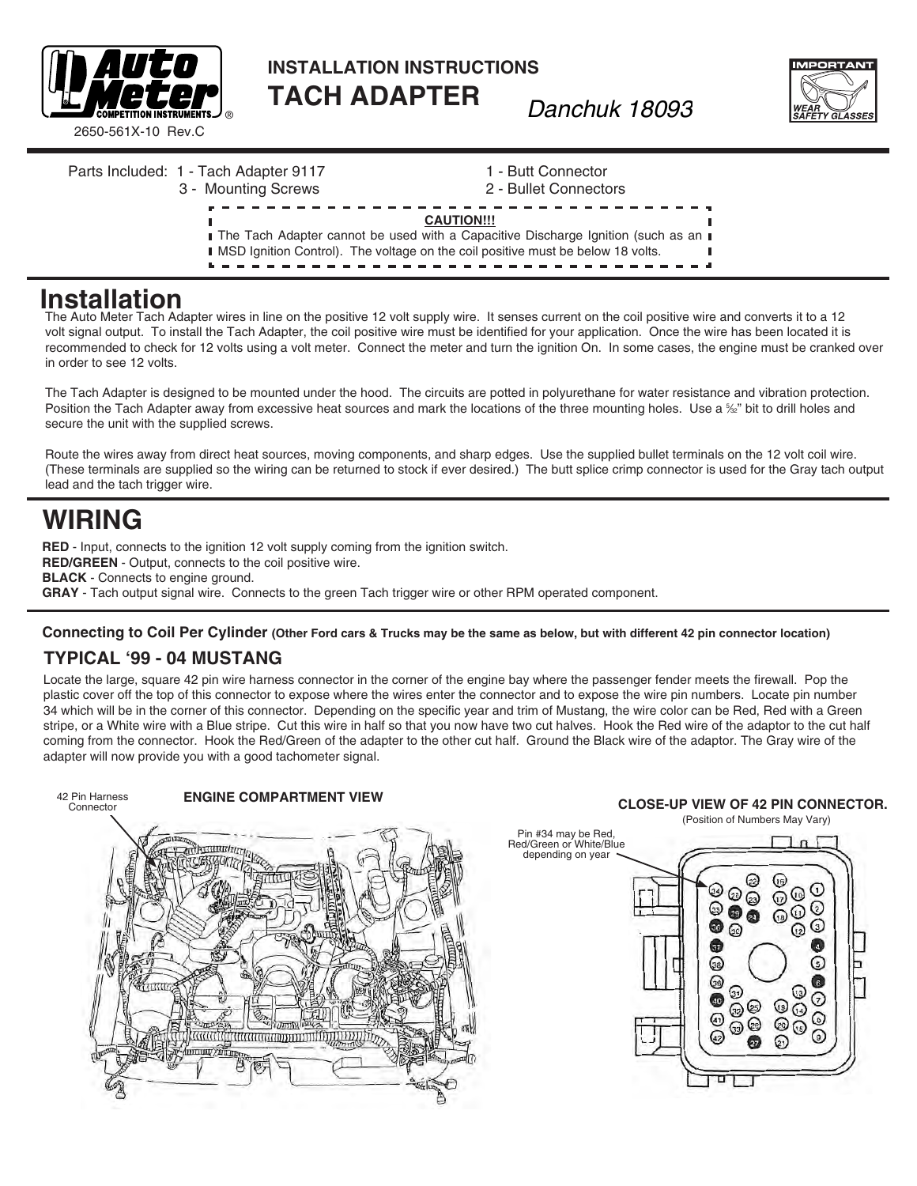

**INSTALLATION INSTRUCTIONS tach adaptEr** *Danchuk 18093*



Parts Included: 1 - Tach Adapter 9117 1 - Butt Connector 3 - Mounting Screws 2 - Bullet Connectors **CAUTION!!! I** The Tach Adapter cannot be used with a Capacitive Discharge Ignition (such as an **I I** MSD Ignition Control). The voltage on the coil positive must be below 18 volts. ----------------

## **Installation**

The Auto Meter Tach Adapter wires in line on the positive 12 volt supply wire. It senses current on the coil positive wire and converts it to a 12 volt signal output. To install the Tach Adapter, the coil positive wire must be identified for your application. Once the wire has been located it is recommended to check for 12 volts using a volt meter. Connect the meter and turn the ignition On. In some cases, the engine must be cranked over in order to see 12 volts.

The Tach Adapter is designed to be mounted under the hood. The circuits are potted in polyurethane for water resistance and vibration protection. Position the Tach Adapter away from excessive heat sources and mark the locations of the three mounting holes. Use a ‰" bit to drill holes and secure the unit with the supplied screws.

Route the wires away from direct heat sources, moving components, and sharp edges. Use the supplied bullet terminals on the 12 volt coil wire. (These terminals are supplied so the wiring can be returned to stock if ever desired.) The butt splice crimp connector is used for the Gray tach output lead and the tach trigger wire.

# **WIRING**

**RED** - Input, connects to the ignition 12 volt supply coming from the ignition switch. **RED/GREEN** - Output, connects to the coil positive wire. **BLACK** - Connects to engine ground. **GRAY** - Tach output signal wire. Connects to the green Tach trigger wire or other RPM operated component.

#### **Connecting to Coil Per Cylinder (Other Ford cars & Trucks may be the same as below, but with different 42 pin connector location)**

### **Typical '99 - 04 Mustang**

Locate the large, square 42 pin wire harness connector in the corner of the engine bay where the passenger fender meets the firewall. Pop the plastic cover off the top of this connector to expose where the wires enter the connector and to expose the wire pin numbers. Locate pin number 34 which will be in the corner of this connector. Depending on the specific year and trim of Mustang, the wire color can be Red, Red with a Green stripe, or a White wire with a Blue stripe. Cut this wire in half so that you now have two cut halves. Hook the Red wire of the adaptor to the cut half coming from the connector. Hook the Red/Green of the adapter to the other cut half. Ground the Black wire of the adaptor. The Gray wire of the adapter will now provide you with a good tachometer signal.



#### (Position of Numbers May Vary) Pin #34 may be Red, Red/Green or White/Blue depending on year C ଭ ∞ 0  $_{\odot}$ **900** 0  $\bullet$  $\ddot{\bullet}$  $\bullet$ ⊙ 0  $\odot$ ⊕ ⊙ ☞ ⊛  $\binom{1}{2}$ ⊙ ◎  $\overline{\odot}$ ⊕  $\odot$  $\odot$  $\overset{\circ}{\mathcal{O}}\overset{\circ}{\mathcal{O}}$  $\odot$ 0  $\odot$  $\Omega$ ण

л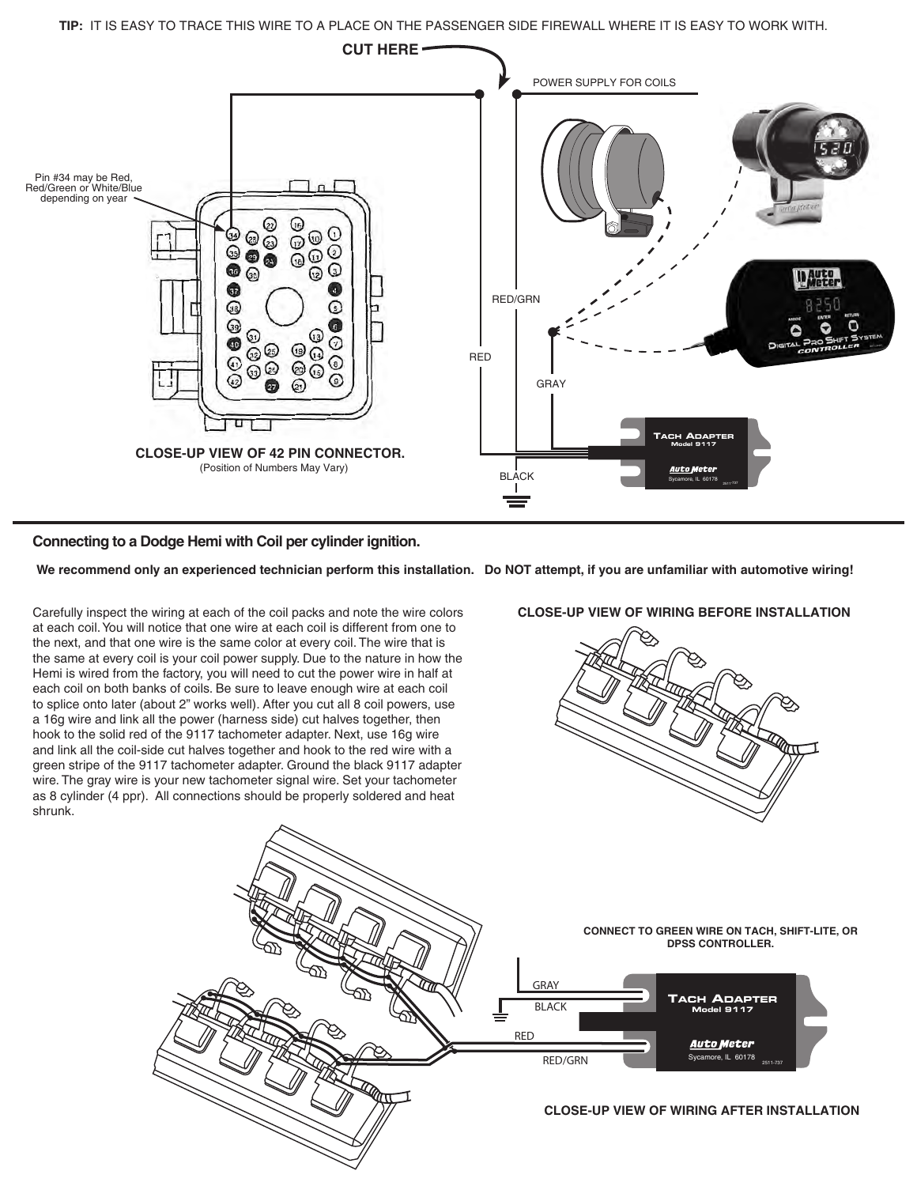**TIP:** IT IS EASY TO TRACE THIS WIRE TO A PLACE ON THE PASSENGER SIDE FIREWALL WHERE IT IS EASY TO WORK WITH.



#### **Connecting to a Dodge Hemi with Coil per cylinder ignition.**

 **We recommend only an experienced technician perform this installation. Do NOT attempt, if you are unfamiliar with automotive wiring!**

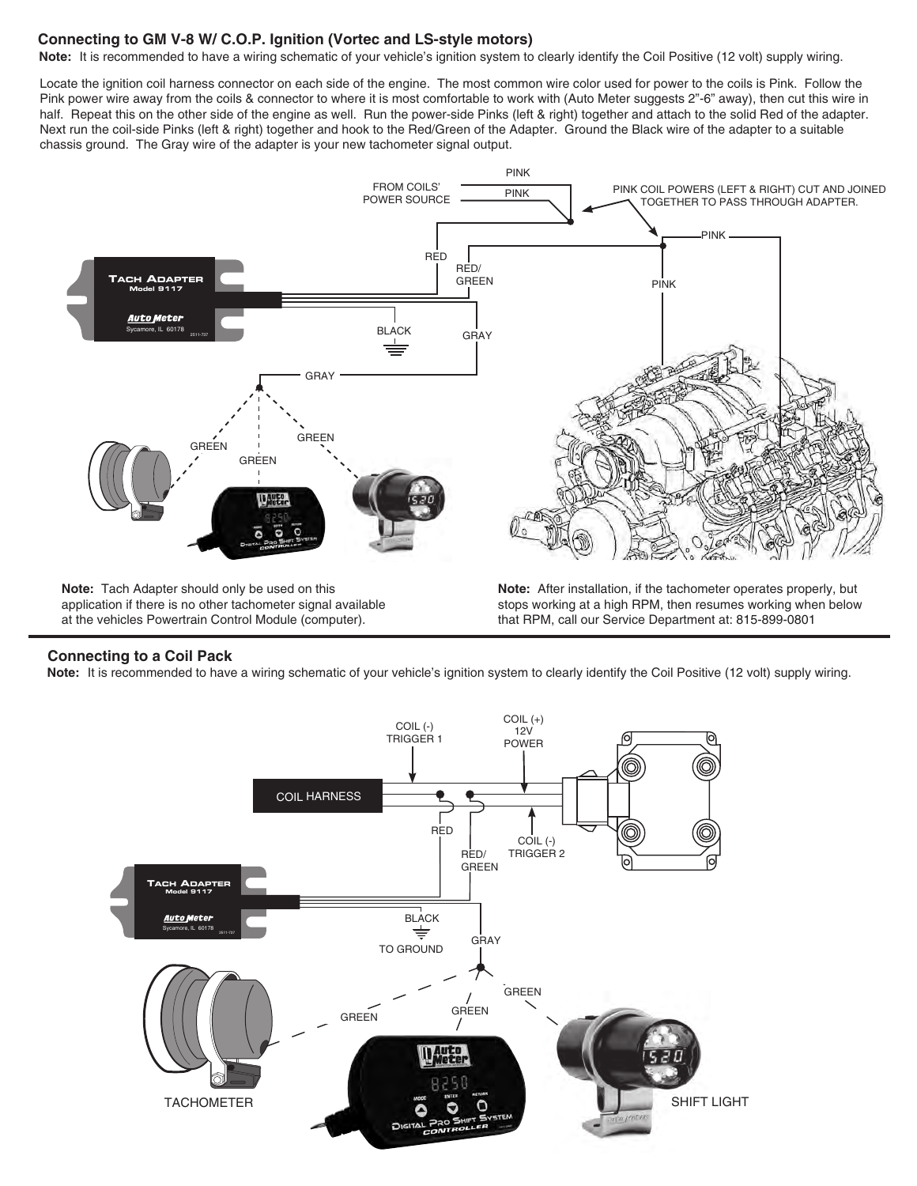#### **Connecting to GM V-8 W/ C.O.P. Ignition (Vortec and LS-style motors)**

Note: It is recommended to have a wiring schematic of your vehicle's ignition system to clearly identify the Coil Positive (12 volt) supply wiring.

Locate the ignition coil harness connector on each side of the engine. The most common wire color used for power to the coils is Pink. Follow the Pink power wire away from the coils & connector to where it is most comfortable to work with (Auto Meter suggests 2"-6" away), then cut this wire in half. Repeat this on the other side of the engine as well. Run the power-side Pinks (left & right) together and attach to the solid Red of the adapter. Next run the coil-side Pinks (left & right) together and hook to the Red/Green of the Adapter. Ground the Black wire of the adapter to a suitable chassis ground. The Gray wire of the adapter is your new tachometer signal output.



**Note:** Tach Adapter should only be used on this application if there is no other tachometer signal available at the vehicles Powertrain Control Module (computer).

**Note:** After installation, if the tachometer operates properly, but stops working at a high RPM, then resumes working when below that RPM, call our Service Department at: 815-899-0801

#### **Connecting to a Coil Pack**

**Note:** It is recommended to have a wiring schematic of your vehicle's ignition system to clearly identify the Coil Positive (12 volt) supply wiring.